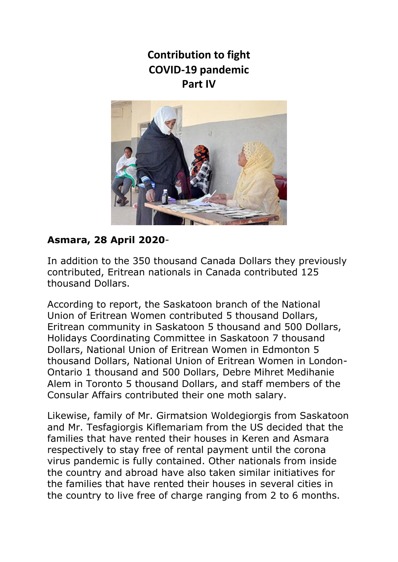**Contribution to fight COVID-19 pandemic Part IV**



### **Asmara, 28 April 2020**-

In addition to the 350 thousand Canada Dollars they previously contributed, Eritrean nationals in Canada contributed 125 thousand Dollars.

According to report, the Saskatoon branch of the National Union of Eritrean Women contributed 5 thousand Dollars, Eritrean community in Saskatoon 5 thousand and 500 Dollars, Holidays Coordinating Committee in Saskatoon 7 thousand Dollars, National Union of Eritrean Women in Edmonton 5 thousand Dollars, National Union of Eritrean Women in London-Ontario 1 thousand and 500 Dollars, Debre Mihret Medihanie Alem in Toronto 5 thousand Dollars, and staff members of the Consular Affairs contributed their one moth salary.

Likewise, family of Mr. Girmatsion Woldegiorgis from Saskatoon and Mr. Tesfagiorgis Kiflemariam from the US decided that the families that have rented their houses in Keren and Asmara respectively to stay free of rental payment until the corona virus pandemic is fully contained. Other nationals from inside the country and abroad have also taken similar initiatives for the families that have rented their houses in several cities in the country to live free of charge ranging from 2 to 6 months.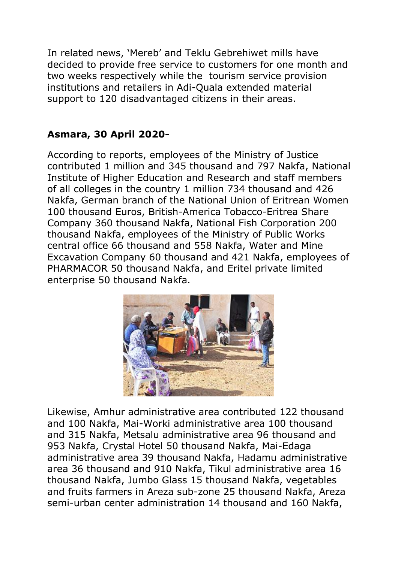In related news, 'Mereb' and Teklu Gebrehiwet mills have decided to provide free service to customers for one month and two weeks respectively while the tourism service provision institutions and retailers in Adi-Quala extended material support to 120 disadvantaged citizens in their areas.

### **Asmara, 30 April 2020-**

According to reports, employees of the Ministry of Justice contributed 1 million and 345 thousand and 797 Nakfa, National Institute of Higher Education and Research and staff members of all colleges in the country 1 million 734 thousand and 426 Nakfa, German branch of the National Union of Eritrean Women 100 thousand Euros, British-America Tobacco-Eritrea Share Company 360 thousand Nakfa, National Fish Corporation 200 thousand Nakfa, employees of the Ministry of Public Works central office 66 thousand and 558 Nakfa, Water and Mine Excavation Company 60 thousand and 421 Nakfa, employees of PHARMACOR 50 thousand Nakfa, and Eritel private limited enterprise 50 thousand Nakfa.



Likewise, Amhur administrative area contributed 122 thousand and 100 Nakfa, Mai-Worki administrative area 100 thousand and 315 Nakfa, Metsalu administrative area 96 thousand and 953 Nakfa, Crystal Hotel 50 thousand Nakfa, Mai-Edaga administrative area 39 thousand Nakfa, Hadamu administrative area 36 thousand and 910 Nakfa, Tikul administrative area 16 thousand Nakfa, Jumbo Glass 15 thousand Nakfa, vegetables and fruits farmers in Areza sub-zone 25 thousand Nakfa, Areza semi-urban center administration 14 thousand and 160 Nakfa,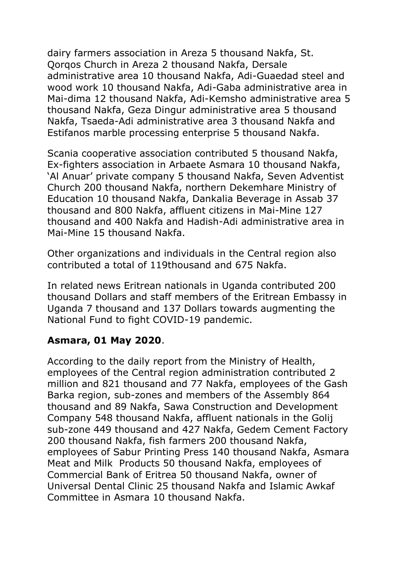dairy farmers association in Areza 5 thousand Nakfa, St. Qorqos Church in Areza 2 thousand Nakfa, Dersale administrative area 10 thousand Nakfa, Adi-Guaedad steel and wood work 10 thousand Nakfa, Adi-Gaba administrative area in Mai-dima 12 thousand Nakfa, Adi-Kemsho administrative area 5 thousand Nakfa, Geza Dingur administrative area 5 thousand Nakfa, Tsaeda-Adi administrative area 3 thousand Nakfa and Estifanos marble processing enterprise 5 thousand Nakfa.

Scania cooperative association contributed 5 thousand Nakfa, Ex-fighters association in Arbaete Asmara 10 thousand Nakfa, 'Al Anuar' private company 5 thousand Nakfa, Seven Adventist Church 200 thousand Nakfa, northern Dekemhare Ministry of Education 10 thousand Nakfa, Dankalia Beverage in Assab 37 thousand and 800 Nakfa, affluent citizens in Mai-Mine 127 thousand and 400 Nakfa and Hadish-Adi administrative area in Mai-Mine 15 thousand Nakfa.

Other organizations and individuals in the Central region also contributed a total of 119thousand and 675 Nakfa.

In related news Eritrean nationals in Uganda contributed 200 thousand Dollars and staff members of the Eritrean Embassy in Uganda 7 thousand and 137 Dollars towards augmenting the National Fund to fight COVID-19 pandemic.

### **Asmara, 01 May 2020**.

According to the daily report from the Ministry of Health, employees of the Central region administration contributed 2 million and 821 thousand and 77 Nakfa, employees of the Gash Barka region, sub-zones and members of the Assembly 864 thousand and 89 Nakfa, Sawa Construction and Development Company 548 thousand Nakfa, affluent nationals in the Golij sub-zone 449 thousand and 427 Nakfa, Gedem Cement Factory 200 thousand Nakfa, fish farmers 200 thousand Nakfa, employees of Sabur Printing Press 140 thousand Nakfa, Asmara Meat and Milk Products 50 thousand Nakfa, employees of Commercial Bank of Eritrea 50 thousand Nakfa, owner of Universal Dental Clinic 25 thousand Nakfa and Islamic Awkaf Committee in Asmara 10 thousand Nakfa.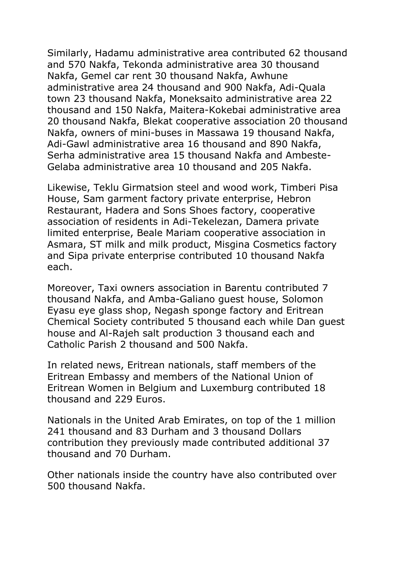Similarly, Hadamu administrative area contributed 62 thousand and 570 Nakfa, Tekonda administrative area 30 thousand Nakfa, Gemel car rent 30 thousand Nakfa, Awhune administrative area 24 thousand and 900 Nakfa, Adi-Quala town 23 thousand Nakfa, Moneksaito administrative area 22 thousand and 150 Nakfa, Maitera-Kokebai administrative area 20 thousand Nakfa, Blekat cooperative association 20 thousand Nakfa, owners of mini-buses in Massawa 19 thousand Nakfa, Adi-Gawl administrative area 16 thousand and 890 Nakfa, Serha administrative area 15 thousand Nakfa and Ambeste-Gelaba administrative area 10 thousand and 205 Nakfa.

Likewise, Teklu Girmatsion steel and wood work, Timberi Pisa House, Sam garment factory private enterprise, Hebron Restaurant, Hadera and Sons Shoes factory, cooperative association of residents in Adi-Tekelezan, Damera private limited enterprise, Beale Mariam cooperative association in Asmara, ST milk and milk product, Misgina Cosmetics factory and Sipa private enterprise contributed 10 thousand Nakfa each.

Moreover, Taxi owners association in Barentu contributed 7 thousand Nakfa, and Amba-Galiano guest house, Solomon Eyasu eye glass shop, Negash sponge factory and Eritrean Chemical Society contributed 5 thousand each while Dan guest house and Al-Rajeh salt production 3 thousand each and Catholic Parish 2 thousand and 500 Nakfa.

In related news, Eritrean nationals, staff members of the Eritrean Embassy and members of the National Union of Eritrean Women in Belgium and Luxemburg contributed 18 thousand and 229 Euros.

Nationals in the United Arab Emirates, on top of the 1 million 241 thousand and 83 Durham and 3 thousand Dollars contribution they previously made contributed additional 37 thousand and 70 Durham.

Other nationals inside the country have also contributed over 500 thousand Nakfa.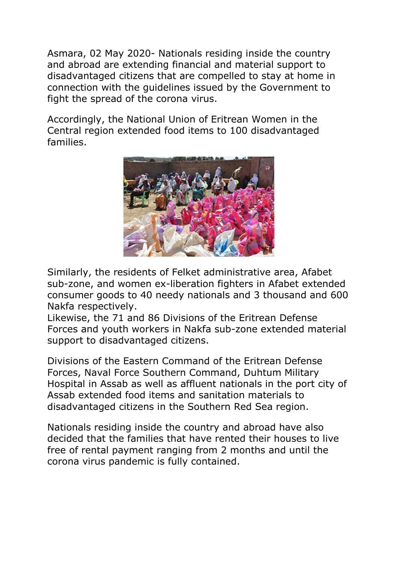Asmara, 02 May 2020- Nationals residing inside the country and abroad are extending financial and material support to disadvantaged citizens that are compelled to stay at home in connection with the guidelines issued by the Government to fight the spread of the corona virus.

Accordingly, the National Union of Eritrean Women in the Central region extended food items to 100 disadvantaged families.



Similarly, the residents of Felket administrative area, Afabet sub-zone, and women ex-liberation fighters in Afabet extended consumer goods to 40 needy nationals and 3 thousand and 600 Nakfa respectively.

Likewise, the 71 and 86 Divisions of the Eritrean Defense Forces and youth workers in Nakfa sub-zone extended material support to disadvantaged citizens.

Divisions of the Eastern Command of the Eritrean Defense Forces, Naval Force Southern Command, Duhtum Military Hospital in Assab as well as affluent nationals in the port city of Assab extended food items and sanitation materials to disadvantaged citizens in the Southern Red Sea region.

Nationals residing inside the country and abroad have also decided that the families that have rented their houses to live free of rental payment ranging from 2 months and until the corona virus pandemic is fully contained.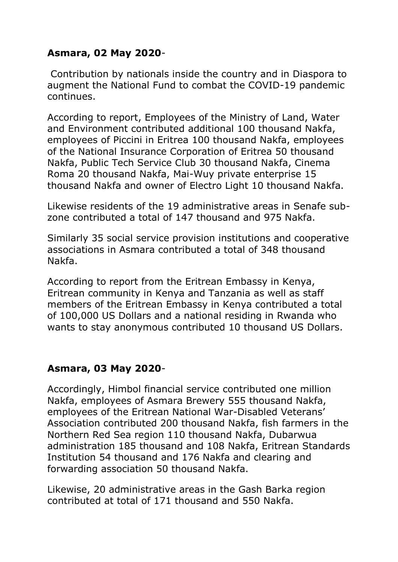### **Asmara, 02 May 2020**-

Contribution by nationals inside the country and in Diaspora to augment the National Fund to combat the COVID-19 pandemic continues.

According to report, Employees of the Ministry of Land, Water and Environment contributed additional 100 thousand Nakfa, employees of Piccini in Eritrea 100 thousand Nakfa, employees of the National Insurance Corporation of Eritrea 50 thousand Nakfa, Public Tech Service Club 30 thousand Nakfa, Cinema Roma 20 thousand Nakfa, Mai-Wuy private enterprise 15 thousand Nakfa and owner of Electro Light 10 thousand Nakfa.

Likewise residents of the 19 administrative areas in Senafe subzone contributed a total of 147 thousand and 975 Nakfa.

Similarly 35 social service provision institutions and cooperative associations in Asmara contributed a total of 348 thousand Nakfa.

According to report from the Eritrean Embassy in Kenya, Eritrean community in Kenya and Tanzania as well as staff members of the Eritrean Embassy in Kenya contributed a total of 100,000 US Dollars and a national residing in Rwanda who wants to stay anonymous contributed 10 thousand US Dollars.

### **Asmara, 03 May 2020**-

Accordingly, Himbol financial service contributed one million Nakfa, employees of Asmara Brewery 555 thousand Nakfa, employees of the Eritrean National War-Disabled Veterans' Association contributed 200 thousand Nakfa, fish farmers in the Northern Red Sea region 110 thousand Nakfa, Dubarwua administration 185 thousand and 108 Nakfa, Eritrean Standards Institution 54 thousand and 176 Nakfa and clearing and forwarding association 50 thousand Nakfa.

Likewise, 20 administrative areas in the Gash Barka region contributed at total of 171 thousand and 550 Nakfa.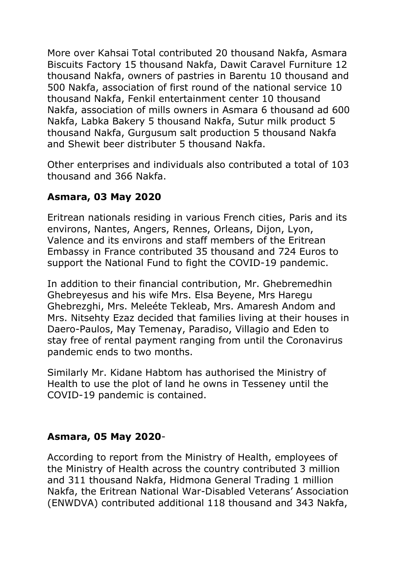More over Kahsai Total contributed 20 thousand Nakfa, Asmara Biscuits Factory 15 thousand Nakfa, Dawit Caravel Furniture 12 thousand Nakfa, owners of pastries in Barentu 10 thousand and 500 Nakfa, association of first round of the national service 10 thousand Nakfa, Fenkil entertainment center 10 thousand Nakfa, association of mills owners in Asmara 6 thousand ad 600 Nakfa, Labka Bakery 5 thousand Nakfa, Sutur milk product 5 thousand Nakfa, Gurgusum salt production 5 thousand Nakfa and Shewit beer distributer 5 thousand Nakfa.

Other enterprises and individuals also contributed a total of 103 thousand and 366 Nakfa.

# **Asmara, 03 May 2020**

Eritrean nationals residing in various French cities, Paris and its environs, Nantes, Angers, Rennes, Orleans, Dijon, Lyon, Valence and its environs and staff members of the Eritrean Embassy in France contributed 35 thousand and 724 Euros to support the National Fund to fight the COVID-19 pandemic.

In addition to their financial contribution, Mr. Ghebremedhin Ghebreyesus and his wife Mrs. Elsa Beyene, Mrs Haregu Ghebrezghi, Mrs. Meleéte Tekleab, Mrs. Amaresh Andom and Mrs. Nitsehty Ezaz decided that families living at their houses in Daero-Paulos, May Temenay, Paradiso, Villagio and Eden to stay free of rental payment ranging from until the Coronavirus pandemic ends to two months.

Similarly Mr. Kidane Habtom has authorised the Ministry of Health to use the plot of land he owns in Tesseney until the COVID-19 pandemic is contained.

### **Asmara, 05 May 2020**-

According to report from the Ministry of Health, employees of the Ministry of Health across the country contributed 3 million and 311 thousand Nakfa, Hidmona General Trading 1 million Nakfa, the Eritrean National War-Disabled Veterans' Association (ENWDVA) contributed additional 118 thousand and 343 Nakfa,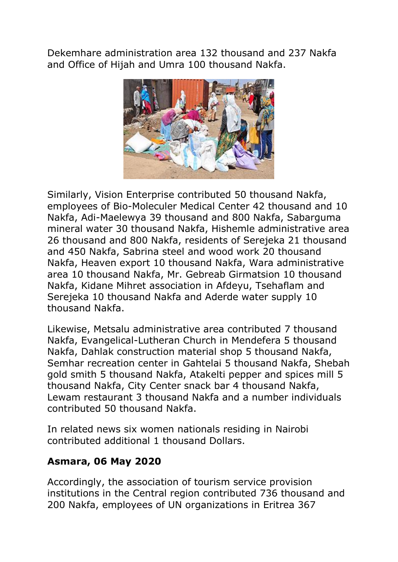Dekemhare administration area 132 thousand and 237 Nakfa and Office of Hijah and Umra 100 thousand Nakfa.

![](_page_7_Picture_1.jpeg)

Similarly, Vision Enterprise contributed 50 thousand Nakfa, employees of Bio-Moleculer Medical Center 42 thousand and 10 Nakfa, Adi-Maelewya 39 thousand and 800 Nakfa, Sabarguma mineral water 30 thousand Nakfa, Hishemle administrative area 26 thousand and 800 Nakfa, residents of Serejeka 21 thousand and 450 Nakfa, Sabrina steel and wood work 20 thousand Nakfa, Heaven export 10 thousand Nakfa, Wara administrative area 10 thousand Nakfa, Mr. Gebreab Girmatsion 10 thousand Nakfa, Kidane Mihret association in Afdeyu, Tsehaflam and Serejeka 10 thousand Nakfa and Aderde water supply 10 thousand Nakfa.

Likewise, Metsalu administrative area contributed 7 thousand Nakfa, Evangelical-Lutheran Church in Mendefera 5 thousand Nakfa, Dahlak construction material shop 5 thousand Nakfa, Semhar recreation center in Gahtelai 5 thousand Nakfa, Shebah gold smith 5 thousand Nakfa, Atakelti pepper and spices mill 5 thousand Nakfa, City Center snack bar 4 thousand Nakfa, Lewam restaurant 3 thousand Nakfa and a number individuals contributed 50 thousand Nakfa.

In related news six women nationals residing in Nairobi contributed additional 1 thousand Dollars.

### **Asmara, 06 May 2020**

Accordingly, the association of tourism service provision institutions in the Central region contributed 736 thousand and 200 Nakfa, employees of UN organizations in Eritrea 367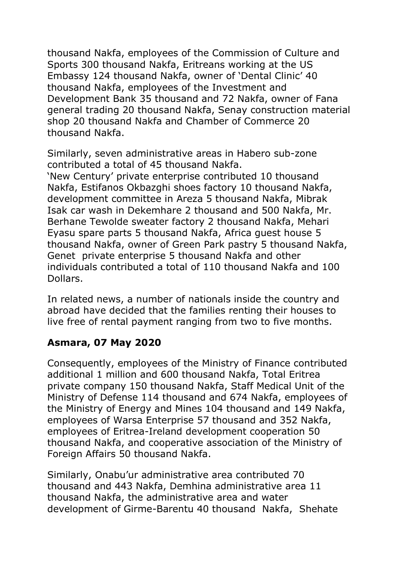thousand Nakfa, employees of the Commission of Culture and Sports 300 thousand Nakfa, Eritreans working at the US Embassy 124 thousand Nakfa, owner of 'Dental Clinic' 40 thousand Nakfa, employees of the Investment and Development Bank 35 thousand and 72 Nakfa, owner of Fana general trading 20 thousand Nakfa, Senay construction material shop 20 thousand Nakfa and Chamber of Commerce 20 thousand Nakfa.

Similarly, seven administrative areas in Habero sub-zone contributed a total of 45 thousand Nakfa.

'New Century' private enterprise contributed 10 thousand Nakfa, Estifanos Okbazghi shoes factory 10 thousand Nakfa, development committee in Areza 5 thousand Nakfa, Mibrak Isak car wash in Dekemhare 2 thousand and 500 Nakfa, Mr. Berhane Tewolde sweater factory 2 thousand Nakfa, Mehari Eyasu spare parts 5 thousand Nakfa, Africa guest house 5 thousand Nakfa, owner of Green Park pastry 5 thousand Nakfa, Genet private enterprise 5 thousand Nakfa and other individuals contributed a total of 110 thousand Nakfa and 100 Dollars.

In related news, a number of nationals inside the country and abroad have decided that the families renting their houses to live free of rental payment ranging from two to five months.

# **Asmara, 07 May 2020**

Consequently, employees of the Ministry of Finance contributed additional 1 million and 600 thousand Nakfa, Total Eritrea private company 150 thousand Nakfa, Staff Medical Unit of the Ministry of Defense 114 thousand and 674 Nakfa, employees of the Ministry of Energy and Mines 104 thousand and 149 Nakfa, employees of Warsa Enterprise 57 thousand and 352 Nakfa, employees of Eritrea-Ireland development cooperation 50 thousand Nakfa, and cooperative association of the Ministry of Foreign Affairs 50 thousand Nakfa.

Similarly, Onabu'ur administrative area contributed 70 thousand and 443 Nakfa, Demhina administrative area 11 thousand Nakfa, the administrative area and water development of Girme-Barentu 40 thousand Nakfa, Shehate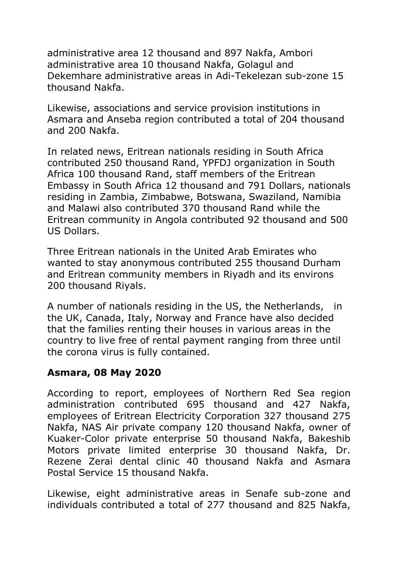administrative area 12 thousand and 897 Nakfa, Ambori administrative area 10 thousand Nakfa, Golagul and Dekemhare administrative areas in Adi-Tekelezan sub-zone 15 thousand Nakfa.

Likewise, associations and service provision institutions in Asmara and Anseba region contributed a total of 204 thousand and 200 Nakfa.

In related news, Eritrean nationals residing in South Africa contributed 250 thousand Rand, YPFDJ organization in South Africa 100 thousand Rand, staff members of the Eritrean Embassy in South Africa 12 thousand and 791 Dollars, nationals residing in Zambia, Zimbabwe, Botswana, Swaziland, Namibia and Malawi also contributed 370 thousand Rand while the Eritrean community in Angola contributed 92 thousand and 500 US Dollars.

Three Eritrean nationals in the United Arab Emirates who wanted to stay anonymous contributed 255 thousand Durham and Eritrean community members in Riyadh and its environs 200 thousand Riyals.

A number of nationals residing in the US, the Netherlands, in the UK, Canada, Italy, Norway and France have also decided that the families renting their houses in various areas in the country to live free of rental payment ranging from three until the corona virus is fully contained.

# **Asmara, 08 May 2020**

According to report, employees of Northern Red Sea region administration contributed 695 thousand and 427 Nakfa, employees of Eritrean Electricity Corporation 327 thousand 275 Nakfa, NAS Air private company 120 thousand Nakfa, owner of Kuaker-Color private enterprise 50 thousand Nakfa, Bakeshib Motors private limited enterprise 30 thousand Nakfa, Dr. Rezene Zerai dental clinic 40 thousand Nakfa and Asmara Postal Service 15 thousand Nakfa.

Likewise, eight administrative areas in Senafe sub-zone and individuals contributed a total of 277 thousand and 825 Nakfa,